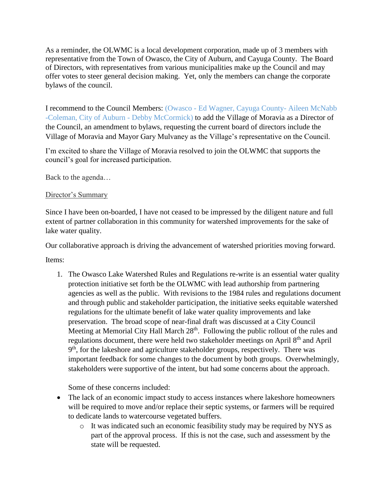As a reminder, the OLWMC is a local development corporation, made up of 3 members with representative from the Town of Owasco, the City of Auburn, and Cayuga County. The Board of Directors, with representatives from various municipalities make up the Council and may offer votes to steer general decision making. Yet, only the members can change the corporate bylaws of the council.

I recommend to the Council Members: (Owasco - Ed Wagner, Cayuga County- Aileen McNabb -Coleman, City of Auburn - Debby McCormick) to add the Village of Moravia as a Director of the Council, an amendment to bylaws, requesting the current board of directors include the Village of Moravia and Mayor Gary Mulvaney as the Village's representative on the Council.

I'm excited to share the Village of Moravia resolved to join the OLWMC that supports the council's goal for increased participation.

Back to the agenda…

## Director's Summary

Since I have been on-boarded, I have not ceased to be impressed by the diligent nature and full extent of partner collaboration in this community for watershed improvements for the sake of lake water quality.

Our collaborative approach is driving the advancement of watershed priorities moving forward.

Items:

1. The Owasco Lake Watershed Rules and Regulations re-write is an essential water quality protection initiative set forth be the OLWMC with lead authorship from partnering agencies as well as the public. With revisions to the 1984 rules and regulations document and through public and stakeholder participation, the initiative seeks equitable watershed regulations for the ultimate benefit of lake water quality improvements and lake preservation. The broad scope of near-final draft was discussed at a City Council Meeting at Memorial City Hall March  $28<sup>th</sup>$ . Following the public rollout of the rules and regulations document, there were held two stakeholder meetings on April 8<sup>th</sup> and April 9<sup>th</sup>, for the lakeshore and agriculture stakeholder groups, respectively. There was important feedback for some changes to the document by both groups. Overwhelmingly, stakeholders were supportive of the intent, but had some concerns about the approach.

Some of these concerns included:

- The lack of an economic impact study to access instances where lakeshore homeowners will be required to move and/or replace their septic systems, or farmers will be required to dedicate lands to watercourse vegetated buffers.
	- o It was indicated such an economic feasibility study may be required by NYS as part of the approval process. If this is not the case, such and assessment by the state will be requested.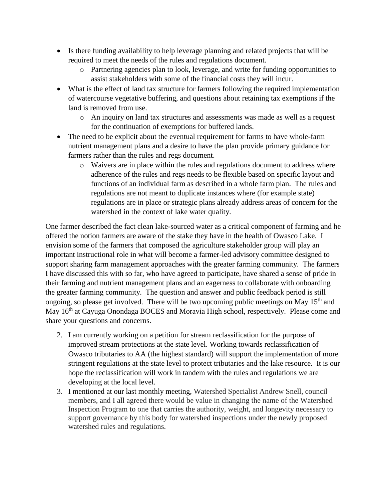- Is there funding availability to help leverage planning and related projects that will be required to meet the needs of the rules and regulations document.
	- o Partnering agencies plan to look, leverage, and write for funding opportunities to assist stakeholders with some of the financial costs they will incur.
- What is the effect of land tax structure for farmers following the required implementation of watercourse vegetative buffering, and questions about retaining tax exemptions if the land is removed from use.
	- o An inquiry on land tax structures and assessments was made as well as a request for the continuation of exemptions for buffered lands.
- The need to be explicit about the eventual requirement for farms to have whole-farm nutrient management plans and a desire to have the plan provide primary guidance for farmers rather than the rules and regs document.
	- o Waivers are in place within the rules and regulations document to address where adherence of the rules and regs needs to be flexible based on specific layout and functions of an individual farm as described in a whole farm plan. The rules and regulations are not meant to duplicate instances where (for example state) regulations are in place or strategic plans already address areas of concern for the watershed in the context of lake water quality.

One farmer described the fact clean lake-sourced water as a critical component of farming and he offered the notion farmers are aware of the stake they have in the health of Owasco Lake. I envision some of the farmers that composed the agriculture stakeholder group will play an important instructional role in what will become a farmer-led advisory committee designed to support sharing farm management approaches with the greater farming community. The farmers I have discussed this with so far, who have agreed to participate, have shared a sense of pride in their farming and nutrient management plans and an eagerness to collaborate with onboarding the greater farming community. The question and answer and public feedback period is still ongoing, so please get involved. There will be two upcoming public meetings on May  $15<sup>th</sup>$  and May 16<sup>th</sup> at Cayuga Onondaga BOCES and Moravia High school, respectively. Please come and share your questions and concerns.

- 2. I am currently working on a petition for stream reclassification for the purpose of improved stream protections at the state level. Working towards reclassification of Owasco tributaries to AA (the highest standard) will support the implementation of more stringent regulations at the state level to protect tributaries and the lake resource. It is our hope the reclassification will work in tandem with the rules and regulations we are developing at the local level.
- 3. I mentioned at our last monthly meeting, Watershed Specialist Andrew Snell, council members, and I all agreed there would be value in changing the name of the Watershed Inspection Program to one that carries the authority, weight, and longevity necessary to support governance by this body for watershed inspections under the newly proposed watershed rules and regulations.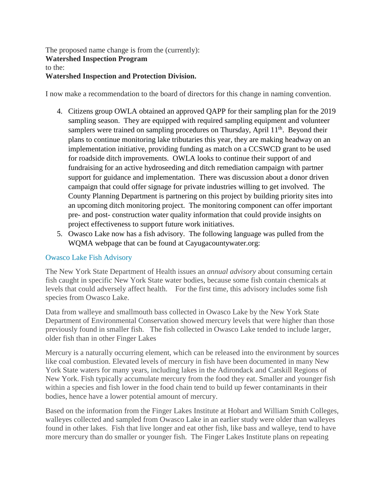The proposed name change is from the (currently): **Watershed Inspection Program** to the: **Watershed Inspection and Protection Division.**

I now make a recommendation to the board of directors for this change in naming convention.

- 4. Citizens group OWLA obtained an approved QAPP for their sampling plan for the 2019 sampling season. They are equipped with required sampling equipment and volunteer samplers were trained on sampling procedures on Thursday, April 11<sup>th</sup>. Beyond their plans to continue monitoring lake tributaries this year, they are making headway on an implementation initiative, providing funding as match on a CCSWCD grant to be used for roadside ditch improvements. OWLA looks to continue their support of and fundraising for an active hydroseeding and ditch remediation campaign with partner support for guidance and implementation. There was discussion about a donor driven campaign that could offer signage for private industries willing to get involved. The County Planning Department is partnering on this project by building priority sites into an upcoming ditch monitoring project. The monitoring component can offer important pre- and post- construction water quality information that could provide insights on project effectiveness to support future work initiatives.
- 5. Owasco Lake now has a fish advisory. The following language was pulled from the WQMA webpage that can be found at Cayugacountywater.org:

## Owasco Lake Fish Advisory

The New York State Department of Health issues an *annual advisory* about consuming certain fish caught in specific New York State water bodies, because some fish contain chemicals at levels that could adversely affect health. For the first time, this advisory includes some fish species from Owasco Lake.

Data from walleye and smallmouth bass collected in Owasco Lake by the New York State Department of Environmental Conservation showed mercury levels that were higher than those previously found in smaller fish. The fish collected in Owasco Lake tended to include larger, older fish than in other Finger Lakes

Mercury is a naturally occurring element, which can be released into the environment by sources like coal combustion. Elevated levels of mercury in fish have been documented in many New York State waters for many years, including lakes in the Adirondack and Catskill Regions of New York. Fish typically accumulate mercury from the food they eat. Smaller and younger fish within a species and fish lower in the food chain tend to build up fewer contaminants in their bodies, hence have a lower potential amount of mercury.

Based on the information from the Finger Lakes Institute at Hobart and William Smith Colleges, walleyes collected and sampled from Owasco Lake in an earlier study were older than walleyes found in other lakes. Fish that live longer and eat other fish, like bass and walleye, tend to have more mercury than do smaller or younger fish. The Finger Lakes Institute plans on repeating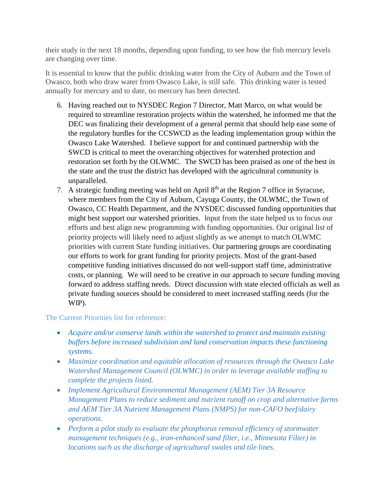their study in the next 18 months, depending upon funding, to see how the fish mercury levels are changing over time.

It is essential to know that the public drinking water from the City of Auburn and the Town of Owasco, both who draw water from Owasco Lake, is still safe. This drinking water is tested annually for mercury and to date, no mercury has been detected.

- 6. Having reached out to NYSDEC Region 7 Director, Matt Marco, on what would be required to streamline restoration projects within the watershed, he informed me that the DEC was finalizing their development of a general permit that should help ease some of the regulatory hurdles for the CCSWCD as the leading implementation group within the Owasco Lake Watershed. I believe support for and continued partnership with the SWCD is critical to meet the overarching objectives for watershed protection and restoration set forth by the OLWMC. The SWCD has been praised as one of the best in the state and the trust the district has developed with the agricultural community is unparalleled.
- 7. A strategic funding meeting was held on April  $8<sup>th</sup>$  at the Region 7 office in Syracuse, where members from the City of Auburn, Cayuga County, the OLWMC, the Town of Owasco, CC Health Department, and the NYSDEC discussed funding opportunities that might best support our watershed priorities. Input from the state helped us to focus our efforts and best align new programming with funding opportunities. Our original list of priority projects will likely need to adjust slightly as we attempt to match OLWMC priorities with current State funding initiatives. Our partnering groups are coordinating our efforts to work for grant funding for priority projects. Most of the grant-based competitive funding initiatives discussed do not well-support staff time, administrative costs, or planning. We will need to be creative in our approach to secure funding moving forward to address staffing needs. Direct discussion with state elected officials as well as private funding sources should be considered to meet increased staffing needs (for the WIP).

## The Current Priorities list for reference:

- *Acquire and/or conserve lands within the watershed to protect and maintain existing buffers before increased subdivision and land conservation impacts these functioning systems.*
- *Maximize coordination and equitable allocation of resources through the Owasco Lake Watershed Management Council (OLWMC) in order to leverage available staffing to complete the projects listed.*
- *Implement Agricultural Environmental Management (AEM) Tier 3A Resource Management Plans to reduce sediment and nutrient runoff on crop and alternative farms and AEM Tier 3A Nutrient Management Plans (NMPS) for non-CAFO beef/dairy operations.*
- *Perform a pilot study to evaluate the phosphorus removal efficiency of stormwater management techniques (e.g., iron-enhanced sand filter, i.e., Minnesota Filter) in locations such as the discharge of agricultural swales and tile lines.*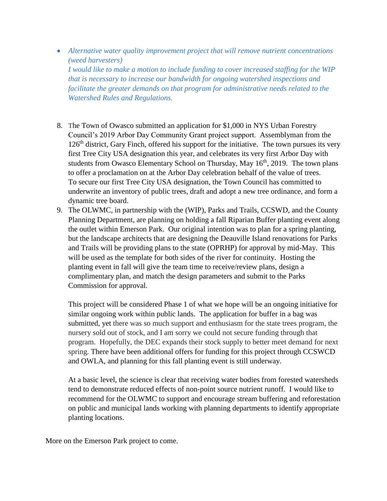- *Alternative water quality improvement project that will remove nutrient concentrations (weed harvesters) I would like to make a motion to include funding to cover increased staffing for the WIP that is necessary to increase our bandwidth for ongoing watershed inspections and facilitate the greater demands on that program for administrative needs related to the Watershed Rules and Regulations.*
- 8. The Town of Owasco submitted an application for \$1,000 in NYS Urban Forestry Council's 2019 Arbor Day Community Grant project support. Assemblyman from the  $126<sup>th</sup>$  district, Gary Finch, offered his support for the initiative. The town pursues its very first Tree City USA designation this year, and celebrates its very first Arbor Day with students from Owasco Elementary School on Thursday, May  $16<sup>th</sup>$ , 2019. The town plans to offer a proclamation on at the Arbor Day celebration behalf of the value of trees. To secure our first Tree City USA designation, the Town Council has committed to underwrite an inventory of public trees, draft and adopt a new tree ordinance, and form a dynamic tree board.
- 9. The OLWMC, in partnership with the (WIP), Parks and Trails, CCSWD, and the County Planning Department, are planning on holding a fall Riparian Buffer planting event along the outlet within Emerson Park. Our original intention was to plan for a spring planting, but the landscape architects that are designing the Deauville Island renovations for Parks and Trails will be providing plans to the state (OPRHP) for approval by mid-May. This will be used as the template for both sides of the river for continuity. Hosting the planting event in fall will give the team time to receive/review plans, design a complimentary plan, and match the design parameters and submit to the Parks Commission for approval.

This project will be considered Phase 1 of what we hope will be an ongoing initiative for similar ongoing work within public lands. The application for buffer in a bag was submitted, yet there was so much support and enthusiasm for the state trees program, the nursery sold out of stock, and I am sorry we could not secure funding through that program. Hopefully, the DEC expands their stock supply to better meet demand for next spring. There have been additional offers for funding for this project through CCSWCD and OWLA, and planning for this fall planting event is still underway.

At a basic level, the science is clear that receiving water bodies from forested watersheds tend to demonstrate reduced effects of non-point source nutrient runoff. I would like to recommend for the OLWMC to support and encourage stream buffering and reforestation on public and municipal lands working with planning departments to identify appropriate planting locations.

More on the Emerson Park project to come.